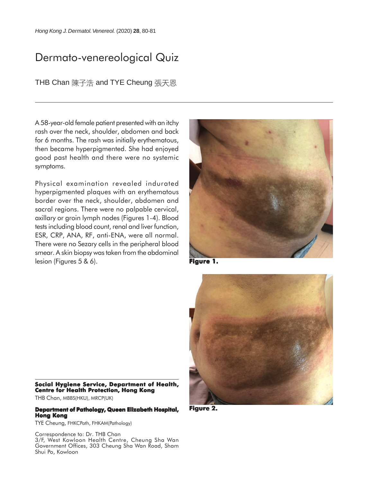## Dermato-venereological Quiz

THB Chan 陳子浩 and TYE Cheung 張天恩

A 58-year-old female patient presented with an itchy rash over the neck, shoulder, abdomen and back for 6 months. The rash was initially erythematous, then became hyperpigmented. She had enjoyed good past health and there were no systemic symptoms.

Physical examination revealed indurated hyperpigmented plaques with an erythematous border over the neck, shoulder, abdomen and sacral regions. There were no palpable cervical, axillary or groin lymph nodes (Figures 1-4). Blood tests including blood count, renal and liver function, ESR, CRP, ANA, RF, anti-ENA, were all normal. There were no Sezary cells in the peripheral blood smear. A skin biopsy was taken from the abdominal lesion (Figures 5 & 6).



**Figure 1.**



**Figure 2. Figure 2.**

**Social Hygiene Service, Department of Health, Centre for Health Protection, Hong Kong** THB Chan, MBBS(HKU), MRCP(UK)

## **Department of Pathology, Queen Elizabeth Hospital, Hong Kong**

TYE Cheung, FHKCPath, FHKAM(Pathology)

Correspondence to: Dr. THB Chan 3/F, West Kowloon Health Centre, Cheung Sha Wan Government Offices, 303 Cheung Sha Wan Road, Sham Shui Po, Kowloon